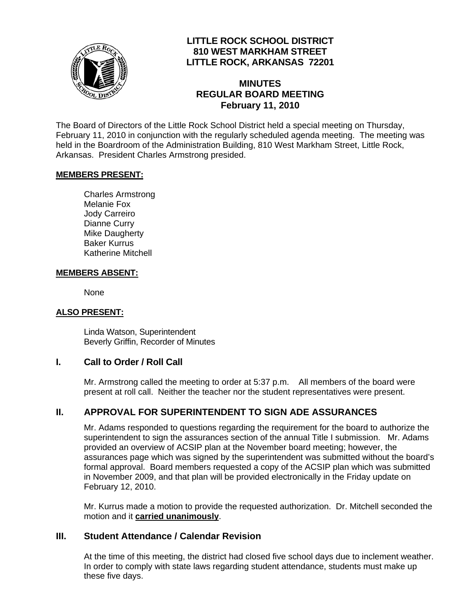

# **LITTLE ROCK SCHOOL DISTRICT 810 WEST MARKHAM STREET LITTLE ROCK, ARKANSAS 72201**

# **MINUTES REGULAR BOARD MEETING February 11, 2010**

The Board of Directors of the Little Rock School District held a special meeting on Thursday, February 11, 2010 in conjunction with the regularly scheduled agenda meeting. The meeting was held in the Boardroom of the Administration Building, 810 West Markham Street, Little Rock, Arkansas. President Charles Armstrong presided.

#### **MEMBERS PRESENT:**

Charles Armstrong Melanie Fox Jody Carreiro Dianne Curry Mike Daugherty Baker Kurrus Katherine Mitchell

#### **MEMBERS ABSENT:**

None

### **ALSO PRESENT:**

 Linda Watson, Superintendent Beverly Griffin, Recorder of Minutes

### **I. Call to Order / Roll Call**

Mr. Armstrong called the meeting to order at 5:37 p.m. All members of the board were present at roll call. Neither the teacher nor the student representatives were present.

# **II. APPROVAL FOR SUPERINTENDENT TO SIGN ADE ASSURANCES**

Mr. Adams responded to questions regarding the requirement for the board to authorize the superintendent to sign the assurances section of the annual Title I submission. Mr. Adams provided an overview of ACSIP plan at the November board meeting; however, the assurances page which was signed by the superintendent was submitted without the board's formal approval. Board members requested a copy of the ACSIP plan which was submitted in November 2009, and that plan will be provided electronically in the Friday update on February 12, 2010.

Mr. Kurrus made a motion to provide the requested authorization. Dr. Mitchell seconded the motion and it **carried unanimously**.

### **III. Student Attendance / Calendar Revision**

At the time of this meeting, the district had closed five school days due to inclement weather. In order to comply with state laws regarding student attendance, students must make up these five days.